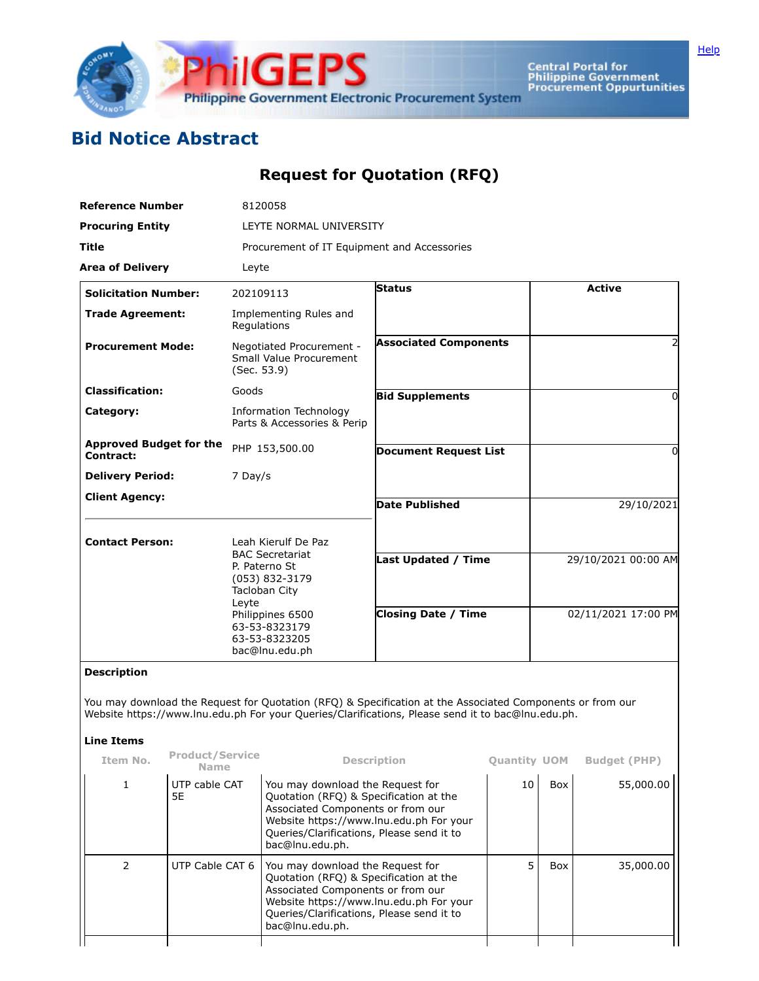

Central Portal for<br>Philippine Government<br>Procurement Oppurtunities

## **Bid Notice Abstract**

## **Request for Quotation (RFQ)**

| <b>Reference Number</b>                     |                                |                                                                                                                                                             | 8120058                                                                                                                                                                                                                    |                                                                                                                                                                                                                |                     |                     |                     |  |  |  |
|---------------------------------------------|--------------------------------|-------------------------------------------------------------------------------------------------------------------------------------------------------------|----------------------------------------------------------------------------------------------------------------------------------------------------------------------------------------------------------------------------|----------------------------------------------------------------------------------------------------------------------------------------------------------------------------------------------------------------|---------------------|---------------------|---------------------|--|--|--|
| <b>Procuring Entity</b>                     |                                | LEYTE NORMAL UNIVERSITY                                                                                                                                     |                                                                                                                                                                                                                            |                                                                                                                                                                                                                |                     |                     |                     |  |  |  |
| Title                                       |                                |                                                                                                                                                             | Procurement of IT Equipment and Accessories                                                                                                                                                                                |                                                                                                                                                                                                                |                     |                     |                     |  |  |  |
| <b>Area of Delivery</b>                     |                                | Leyte                                                                                                                                                       |                                                                                                                                                                                                                            |                                                                                                                                                                                                                |                     |                     |                     |  |  |  |
| <b>Solicitation Number:</b>                 |                                |                                                                                                                                                             | 202109113                                                                                                                                                                                                                  | <b>Status</b>                                                                                                                                                                                                  |                     |                     | <b>Active</b>       |  |  |  |
| <b>Trade Agreement:</b>                     |                                |                                                                                                                                                             | Implementing Rules and<br>Regulations                                                                                                                                                                                      |                                                                                                                                                                                                                |                     |                     |                     |  |  |  |
| <b>Procurement Mode:</b>                    |                                | Negotiated Procurement -<br>Small Value Procurement<br>(Sec. 53.9)                                                                                          |                                                                                                                                                                                                                            | <b>Associated Components</b>                                                                                                                                                                                   |                     |                     |                     |  |  |  |
| <b>Classification:</b>                      |                                | Goods                                                                                                                                                       |                                                                                                                                                                                                                            | <b>Bid Supplements</b>                                                                                                                                                                                         |                     |                     |                     |  |  |  |
| Category:                                   |                                | Information Technology<br>Parts & Accessories & Perip                                                                                                       |                                                                                                                                                                                                                            |                                                                                                                                                                                                                |                     |                     |                     |  |  |  |
| <b>Approved Budget for the</b><br>Contract: |                                | PHP 153,500.00                                                                                                                                              |                                                                                                                                                                                                                            | <b>Document Request List</b>                                                                                                                                                                                   |                     | 0                   |                     |  |  |  |
| <b>Delivery Period:</b>                     |                                | 7 Day/s                                                                                                                                                     |                                                                                                                                                                                                                            |                                                                                                                                                                                                                |                     |                     |                     |  |  |  |
| <b>Client Agency:</b>                       |                                |                                                                                                                                                             |                                                                                                                                                                                                                            | <b>Date Published</b>                                                                                                                                                                                          |                     | 29/10/2021          |                     |  |  |  |
| <b>Contact Person:</b>                      |                                |                                                                                                                                                             | Leah Kierulf De Paz                                                                                                                                                                                                        |                                                                                                                                                                                                                |                     |                     |                     |  |  |  |
|                                             |                                | <b>BAC Secretariat</b><br>P. Paterno St<br>(053) 832-3179<br>Tacloban City<br>Leyte<br>Philippines 6500<br>63-53-8323179<br>63-53-8323205<br>bac@lnu.edu.ph |                                                                                                                                                                                                                            | Last Updated / Time                                                                                                                                                                                            |                     |                     | 29/10/2021 00:00 AM |  |  |  |
|                                             |                                |                                                                                                                                                             |                                                                                                                                                                                                                            | <b>Closing Date / Time</b>                                                                                                                                                                                     |                     | 02/11/2021 17:00 PM |                     |  |  |  |
| <b>Description</b>                          |                                |                                                                                                                                                             |                                                                                                                                                                                                                            |                                                                                                                                                                                                                |                     |                     |                     |  |  |  |
|                                             |                                |                                                                                                                                                             |                                                                                                                                                                                                                            | You may download the Request for Quotation (RFQ) & Specification at the Associated Components or from our<br>Website https://www.lnu.edu.ph For your Queries/Clarifications, Please send it to bac@lnu.edu.ph. |                     |                     |                     |  |  |  |
| <b>Line Items</b>                           |                                |                                                                                                                                                             |                                                                                                                                                                                                                            |                                                                                                                                                                                                                |                     |                     |                     |  |  |  |
| Item No.                                    | Product/Service<br><b>Name</b> |                                                                                                                                                             |                                                                                                                                                                                                                            | <b>Description</b>                                                                                                                                                                                             | <b>Quantity UOM</b> |                     | <b>Budget (PHP)</b> |  |  |  |
| 1                                           | UTP cable CAT<br>5E            |                                                                                                                                                             | You may download the Request for<br>Quotation (RFQ) & Specification at the<br>Associated Components or from our<br>Website https://www.lnu.edu.ph For your<br>Queries/Clarifications, Please send it to<br>bac@lnu.edu.ph. |                                                                                                                                                                                                                | 10                  | Box                 | 55,000.00           |  |  |  |
| $\overline{2}$                              | UTP Cable CAT 6                |                                                                                                                                                             | You may download the Request for<br>Quotation (RFQ) & Specification at the<br>Associated Components or from our<br>Website https://www.lnu.edu.ph For your<br>Queries/Clarifications, Please send it to<br>bac@lnu.edu.ph. |                                                                                                                                                                                                                | 5                   | Box                 | 35,000.00           |  |  |  |